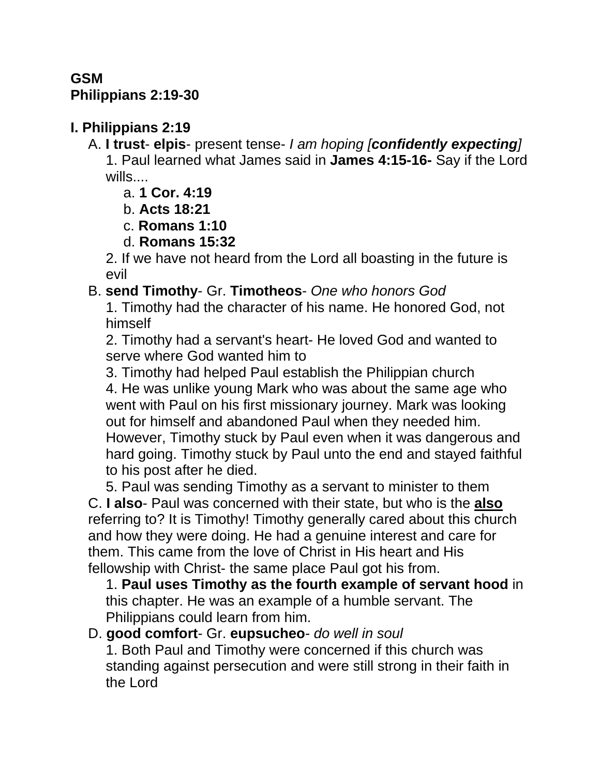## **GSM Philippians 2:19-30**

## **I. Philippians 2:19**

A. **I trust**- **elpis**- present tense- *I am hoping [confidently expecting]* 1. Paul learned what James said in **James 4:15-16-** Say if the Lord wills....

- a. **1 Cor. 4:19**
- b. **Acts 18:21**
- c. **Romans 1:10**
- d. **Romans 15:32**

2. If we have not heard from the Lord all boasting in the future is evil

B. **send Timothy**- Gr. **Timotheos**- *One who honors God*

1. Timothy had the character of his name. He honored God, not himself

2. Timothy had a servant's heart- He loved God and wanted to serve where God wanted him to

3. Timothy had helped Paul establish the Philippian church 4. He was unlike young Mark who was about the same age who went with Paul on his first missionary journey. Mark was looking out for himself and abandoned Paul when they needed him. However, Timothy stuck by Paul even when it was dangerous and hard going. Timothy stuck by Paul unto the end and stayed faithful to his post after he died.

5. Paul was sending Timothy as a servant to minister to them C. **I also**- Paul was concerned with their state, but who is the **also** referring to? It is Timothy! Timothy generally cared about this church and how they were doing. He had a genuine interest and care for them. This came from the love of Christ in His heart and His fellowship with Christ- the same place Paul got his from.

1. **Paul uses Timothy as the fourth example of servant hood** in this chapter. He was an example of a humble servant. The Philippians could learn from him.

#### D. **good comfort**- Gr. **eupsucheo**- *do well in soul*

1. Both Paul and Timothy were concerned if this church was standing against persecution and were still strong in their faith in the Lord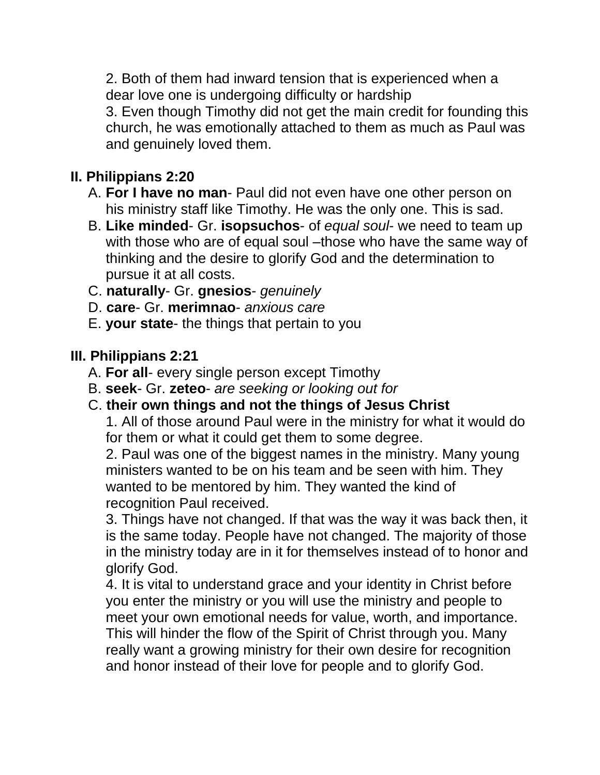2. Both of them had inward tension that is experienced when a dear love one is undergoing difficulty or hardship 3. Even though Timothy did not get the main credit for founding this church, he was emotionally attached to them as much as Paul was and genuinely loved them.

## **II. Philippians 2:20**

- A. **For I have no man** Paul did not even have one other person on his ministry staff like Timothy. He was the only one. This is sad.
- B. **Like minded** Gr. **isopsuchos** of *equal soul* we need to team up with those who are of equal soul –those who have the same way of thinking and the desire to glorify God and the determination to pursue it at all costs.
- C. **naturally** Gr. **gnesios** *genuinely*
- D. **care** Gr. **merimnao** *anxious care*
- E. **your state** the things that pertain to you

### **III. Philippians 2:21**

- A. **For all** every single person except Timothy
- B. **seek** Gr. **zeteo** *are seeking or looking out for*
- C. **their own things and not the things of Jesus Christ**

1. All of those around Paul were in the ministry for what it would do for them or what it could get them to some degree.

2. Paul was one of the biggest names in the ministry. Many young ministers wanted to be on his team and be seen with him. They wanted to be mentored by him. They wanted the kind of recognition Paul received.

3. Things have not changed. If that was the way it was back then, it is the same today. People have not changed. The majority of those in the ministry today are in it for themselves instead of to honor and glorify God.

4. It is vital to understand grace and your identity in Christ before you enter the ministry or you will use the ministry and people to meet your own emotional needs for value, worth, and importance. This will hinder the flow of the Spirit of Christ through you. Many really want a growing ministry for their own desire for recognition and honor instead of their love for people and to glorify God.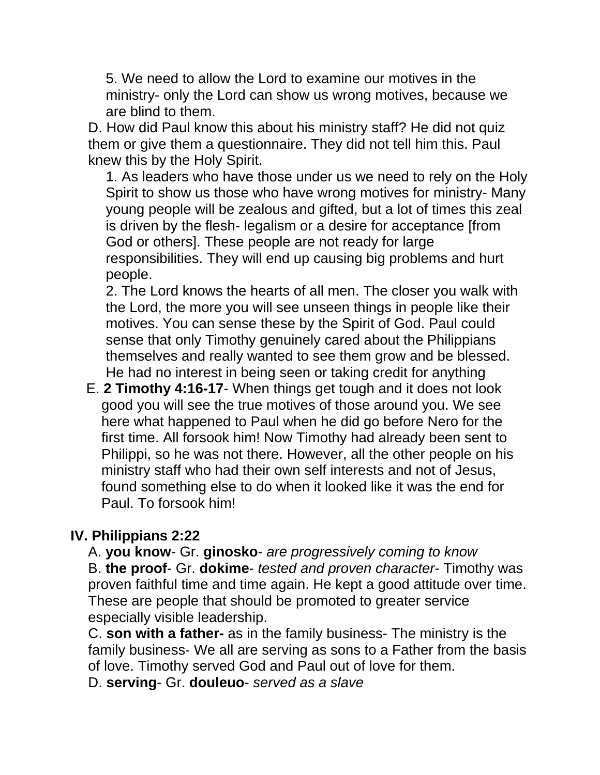5. We need to allow the Lord to examine our motives in the ministry- only the Lord can show us wrong motives, because we are blind to them.

D. How did Paul know this about his ministry staff? He did not quiz them or give them a questionnaire. They did not tell him this. Paul knew this by the Holy Spirit.

1. As leaders who have those under us we need to rely on the Holy Spirit to show us those who have wrong motives for ministry- Many young people will be zealous and gifted, but a lot of times this zeal is driven by the flesh- legalism or a desire for acceptance [from God or others]. These people are not ready for large responsibilities. They will end up causing big problems and hurt people.

2. The Lord knows the hearts of all men. The closer you walk with the Lord, the more you will see unseen things in people like their motives. You can sense these by the Spirit of God. Paul could sense that only Timothy genuinely cared about the Philippians themselves and really wanted to see them grow and be blessed. He had no interest in being seen or taking credit for anything

 E. **2 Timothy 4:16-17**- When things get tough and it does not look good you will see the true motives of those around you. We see here what happened to Paul when he did go before Nero for the first time. All forsook him! Now Timothy had already been sent to Philippi, so he was not there. However, all the other people on his ministry staff who had their own self interests and not of Jesus, found something else to do when it looked like it was the end for Paul. To forsook him!

#### **IV. Philippians 2:22**

A. **you know**- Gr. **ginosko**- *are progressively coming to know*

B. **the proof**- Gr. **dokime**- *tested and proven character*- Timothy was proven faithful time and time again. He kept a good attitude over time. These are people that should be promoted to greater service especially visible leadership.

C. **son with a father-** as in the family business- The ministry is the family business- We all are serving as sons to a Father from the basis of love. Timothy served God and Paul out of love for them.

D. **serving**- Gr. **douleuo**- *served as a slave*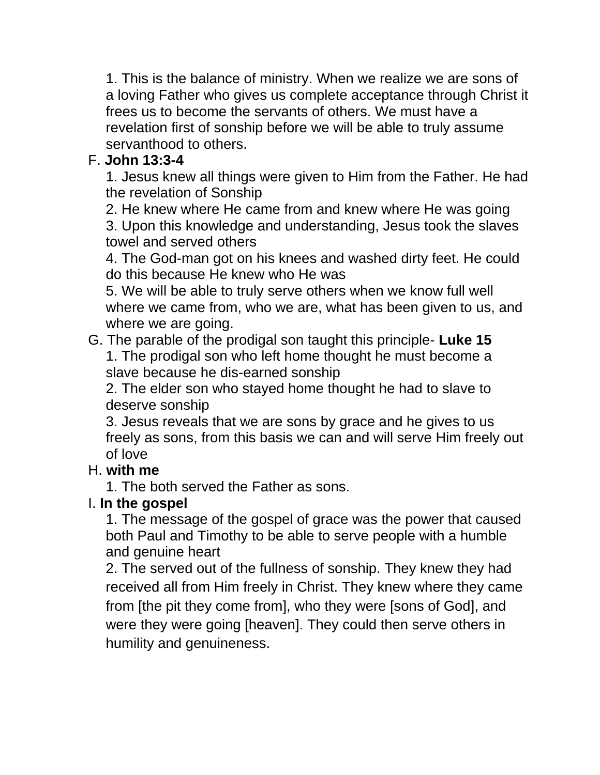1. This is the balance of ministry. When we realize we are sons of a loving Father who gives us complete acceptance through Christ it frees us to become the servants of others. We must have a revelation first of sonship before we will be able to truly assume servanthood to others.

# F. **John 13:3-4**

1. Jesus knew all things were given to Him from the Father. He had the revelation of Sonship

2. He knew where He came from and knew where He was going 3. Upon this knowledge and understanding, Jesus took the slaves towel and served others

4. The God-man got on his knees and washed dirty feet. He could do this because He knew who He was

5. We will be able to truly serve others when we know full well where we came from, who we are, what has been given to us, and where we are going.

G. The parable of the prodigal son taught this principle- **Luke 15** 1. The prodigal son who left home thought he must become a slave because he dis-earned sonship

2. The elder son who stayed home thought he had to slave to deserve sonship

3. Jesus reveals that we are sons by grace and he gives to us freely as sons, from this basis we can and will serve Him freely out of love

# H. **with me**

1. The both served the Father as sons.

# I. **In the gospel**

1. The message of the gospel of grace was the power that caused both Paul and Timothy to be able to serve people with a humble and genuine heart

2. The served out of the fullness of sonship. They knew they had received all from Him freely in Christ. They knew where they came from [the pit they come from], who they were [sons of God], and were they were going [heaven]. They could then serve others in humility and genuineness.